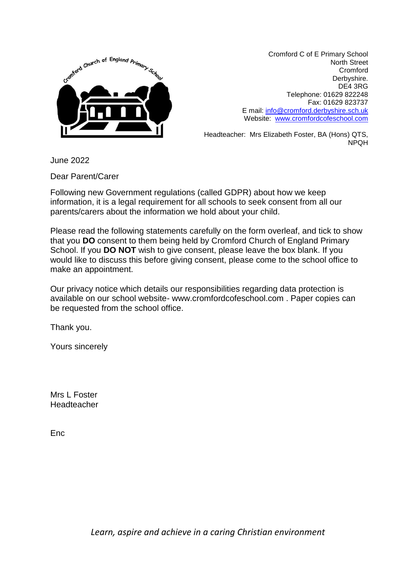

Cromford C of E Primary School North Street Cromford Derbyshire. DE4 3RG Telephone: 01629 822248 Fax: 01629 823737 E mail: [info@cromford.derbyshire.sch.uk](mailto:info@cromford.derbyshire.sch.uk) Website: [www.cromfordcofeschool.com](http://www.cromfordcofeschool.com/)

Headteacher: Mrs Elizabeth Foster, BA (Hons) QTS, NPQH

June 2022

Dear Parent/Carer

Following new Government regulations (called GDPR) about how we keep information, it is a legal requirement for all schools to seek consent from all our parents/carers about the information we hold about your child.

Please read the following statements carefully on the form overleaf, and tick to show that you **DO** consent to them being held by Cromford Church of England Primary School. If you **DO NOT** wish to give consent, please leave the box blank. If you would like to discuss this before giving consent, please come to the school office to make an appointment.

Our privacy notice which details our responsibilities regarding data protection is available on our school website- www.cromfordcofeschool.com . Paper copies can be requested from the school office.

Thank you.

Yours sincerely

Mrs L Foster Headteacher

Enc

*Learn, aspire and achieve in a caring Christian environment*